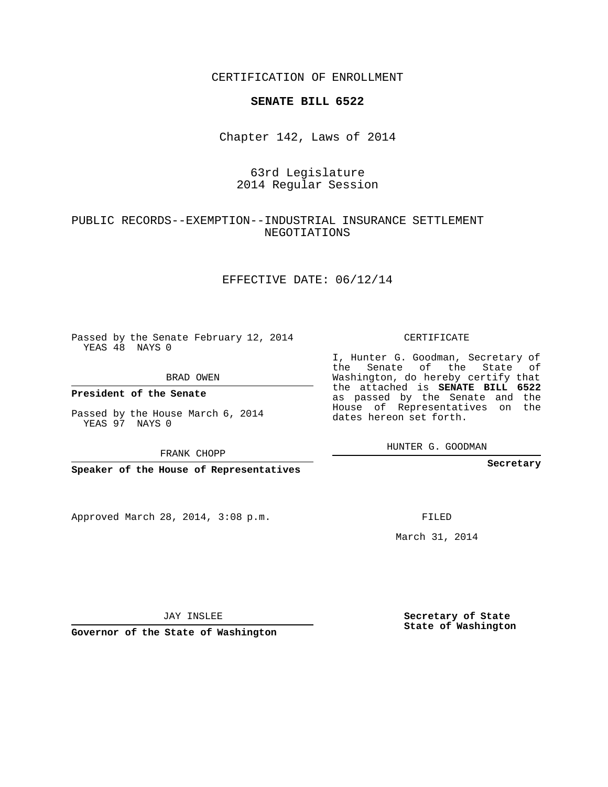CERTIFICATION OF ENROLLMENT

#### **SENATE BILL 6522**

Chapter 142, Laws of 2014

# 63rd Legislature 2014 Regular Session

## PUBLIC RECORDS--EXEMPTION--INDUSTRIAL INSURANCE SETTLEMENT NEGOTIATIONS

### EFFECTIVE DATE: 06/12/14

Passed by the Senate February 12, 2014 YEAS 48 NAYS 0

BRAD OWEN

**President of the Senate**

Passed by the House March 6, 2014 YEAS 97 NAYS 0

FRANK CHOPP

**Speaker of the House of Representatives**

Approved March 28, 2014, 3:08 p.m.

CERTIFICATE

I, Hunter G. Goodman, Secretary of the Senate of the State of Washington, do hereby certify that the attached is **SENATE BILL 6522** as passed by the Senate and the House of Representatives on the dates hereon set forth.

HUNTER G. GOODMAN

**Secretary**

FILED

March 31, 2014

**Secretary of State State of Washington**

JAY INSLEE

**Governor of the State of Washington**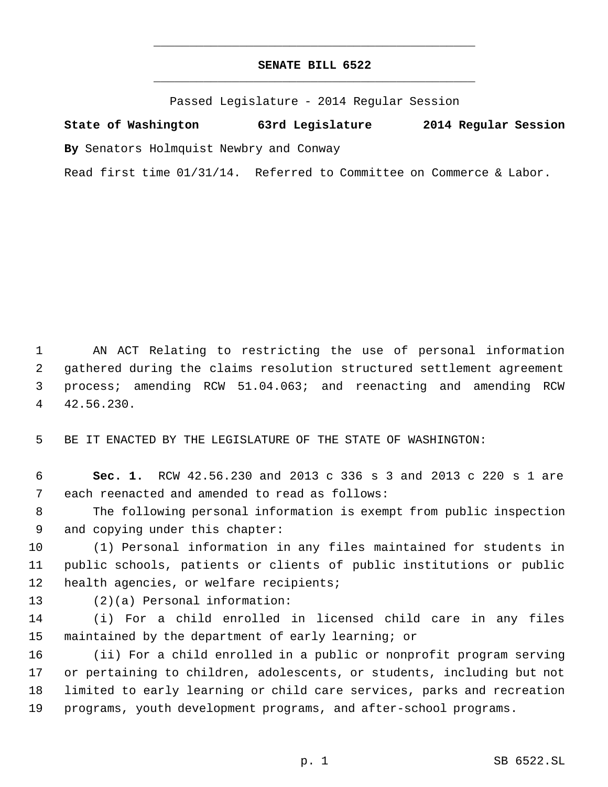# **SENATE BILL 6522** \_\_\_\_\_\_\_\_\_\_\_\_\_\_\_\_\_\_\_\_\_\_\_\_\_\_\_\_\_\_\_\_\_\_\_\_\_\_\_\_\_\_\_\_\_

\_\_\_\_\_\_\_\_\_\_\_\_\_\_\_\_\_\_\_\_\_\_\_\_\_\_\_\_\_\_\_\_\_\_\_\_\_\_\_\_\_\_\_\_\_

Passed Legislature - 2014 Regular Session

**State of Washington 63rd Legislature 2014 Regular Session By** Senators Holmquist Newbry and Conway

Read first time 01/31/14. Referred to Committee on Commerce & Labor.

 AN ACT Relating to restricting the use of personal information gathered during the claims resolution structured settlement agreement process; amending RCW 51.04.063; and reenacting and amending RCW 42.56.230.

BE IT ENACTED BY THE LEGISLATURE OF THE STATE OF WASHINGTON:

 **Sec. 1.** RCW 42.56.230 and 2013 c 336 s 3 and 2013 c 220 s 1 are each reenacted and amended to read as follows:

 The following personal information is exempt from public inspection and copying under this chapter:

 (1) Personal information in any files maintained for students in public schools, patients or clients of public institutions or public health agencies, or welfare recipients;

- 
- (2)(a) Personal information:

 (i) For a child enrolled in licensed child care in any files maintained by the department of early learning; or

 (ii) For a child enrolled in a public or nonprofit program serving or pertaining to children, adolescents, or students, including but not limited to early learning or child care services, parks and recreation programs, youth development programs, and after-school programs.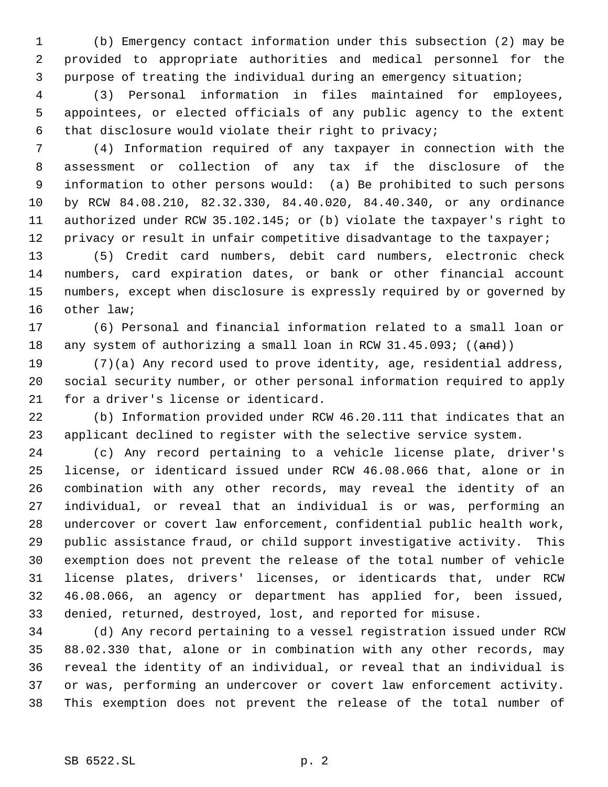(b) Emergency contact information under this subsection (2) may be provided to appropriate authorities and medical personnel for the purpose of treating the individual during an emergency situation;

 (3) Personal information in files maintained for employees, appointees, or elected officials of any public agency to the extent that disclosure would violate their right to privacy;

 (4) Information required of any taxpayer in connection with the assessment or collection of any tax if the disclosure of the information to other persons would: (a) Be prohibited to such persons by RCW 84.08.210, 82.32.330, 84.40.020, 84.40.340, or any ordinance authorized under RCW 35.102.145; or (b) violate the taxpayer's right to 12 privacy or result in unfair competitive disadvantage to the taxpayer;

 (5) Credit card numbers, debit card numbers, electronic check numbers, card expiration dates, or bank or other financial account numbers, except when disclosure is expressly required by or governed by other law;

 (6) Personal and financial information related to a small loan or 18 any system of authorizing a small loan in RCW 31.45.093; ((and))

 (7)(a) Any record used to prove identity, age, residential address, social security number, or other personal information required to apply for a driver's license or identicard.

 (b) Information provided under RCW 46.20.111 that indicates that an applicant declined to register with the selective service system.

 (c) Any record pertaining to a vehicle license plate, driver's license, or identicard issued under RCW 46.08.066 that, alone or in combination with any other records, may reveal the identity of an individual, or reveal that an individual is or was, performing an undercover or covert law enforcement, confidential public health work, public assistance fraud, or child support investigative activity. This exemption does not prevent the release of the total number of vehicle license plates, drivers' licenses, or identicards that, under RCW 46.08.066, an agency or department has applied for, been issued, denied, returned, destroyed, lost, and reported for misuse.

 (d) Any record pertaining to a vessel registration issued under RCW 88.02.330 that, alone or in combination with any other records, may reveal the identity of an individual, or reveal that an individual is or was, performing an undercover or covert law enforcement activity. This exemption does not prevent the release of the total number of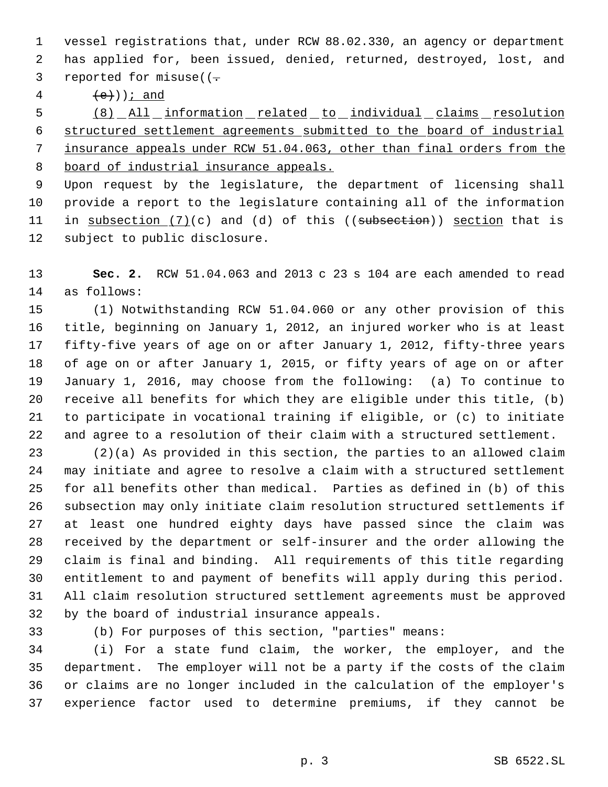vessel registrations that, under RCW 88.02.330, an agency or department has applied for, been issued, denied, returned, destroyed, lost, and 3 reported for misuse( $(-$ 

4  $(e)$ )  $i$  and

 (8) All information related to individual claims resolution structured settlement agreements submitted to the board of industrial insurance appeals under RCW 51.04.063, other than final orders from the board of industrial insurance appeals.

 Upon request by the legislature, the department of licensing shall provide a report to the legislature containing all of the information 11 in subsection (7)(c) and (d) of this ((subsection)) section that is subject to public disclosure.

 **Sec. 2.** RCW 51.04.063 and 2013 c 23 s 104 are each amended to read as follows:

 (1) Notwithstanding RCW 51.04.060 or any other provision of this title, beginning on January 1, 2012, an injured worker who is at least fifty-five years of age on or after January 1, 2012, fifty-three years of age on or after January 1, 2015, or fifty years of age on or after January 1, 2016, may choose from the following: (a) To continue to receive all benefits for which they are eligible under this title, (b) to participate in vocational training if eligible, or (c) to initiate and agree to a resolution of their claim with a structured settlement.

 (2)(a) As provided in this section, the parties to an allowed claim may initiate and agree to resolve a claim with a structured settlement for all benefits other than medical. Parties as defined in (b) of this subsection may only initiate claim resolution structured settlements if at least one hundred eighty days have passed since the claim was received by the department or self-insurer and the order allowing the claim is final and binding. All requirements of this title regarding entitlement to and payment of benefits will apply during this period. All claim resolution structured settlement agreements must be approved by the board of industrial insurance appeals.

(b) For purposes of this section, "parties" means:

 (i) For a state fund claim, the worker, the employer, and the department. The employer will not be a party if the costs of the claim or claims are no longer included in the calculation of the employer's experience factor used to determine premiums, if they cannot be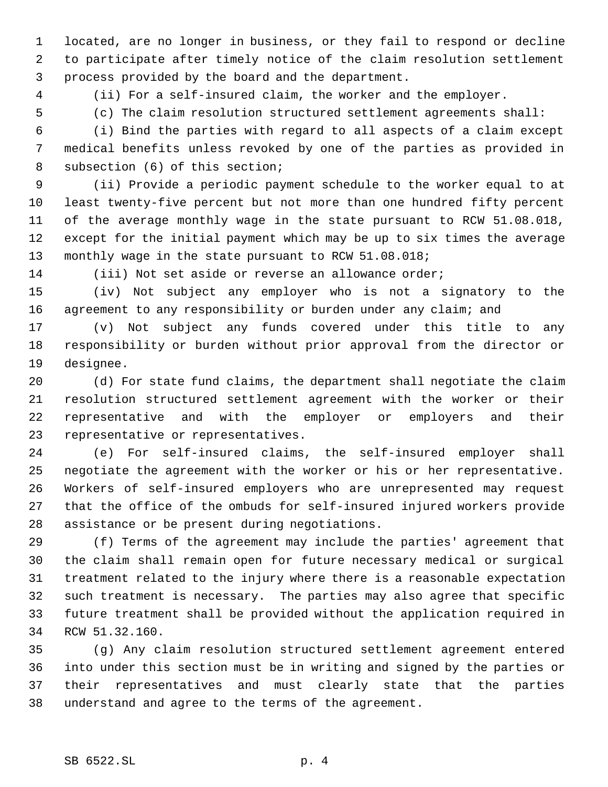located, are no longer in business, or they fail to respond or decline to participate after timely notice of the claim resolution settlement process provided by the board and the department.

(ii) For a self-insured claim, the worker and the employer.

(c) The claim resolution structured settlement agreements shall:

 (i) Bind the parties with regard to all aspects of a claim except medical benefits unless revoked by one of the parties as provided in subsection (6) of this section;

 (ii) Provide a periodic payment schedule to the worker equal to at least twenty-five percent but not more than one hundred fifty percent of the average monthly wage in the state pursuant to RCW 51.08.018, except for the initial payment which may be up to six times the average 13 monthly wage in the state pursuant to RCW 51.08.018;

(iii) Not set aside or reverse an allowance order;

 (iv) Not subject any employer who is not a signatory to the agreement to any responsibility or burden under any claim; and

 (v) Not subject any funds covered under this title to any responsibility or burden without prior approval from the director or designee.

 (d) For state fund claims, the department shall negotiate the claim resolution structured settlement agreement with the worker or their representative and with the employer or employers and their representative or representatives.

 (e) For self-insured claims, the self-insured employer shall negotiate the agreement with the worker or his or her representative. Workers of self-insured employers who are unrepresented may request that the office of the ombuds for self-insured injured workers provide assistance or be present during negotiations.

 (f) Terms of the agreement may include the parties' agreement that the claim shall remain open for future necessary medical or surgical treatment related to the injury where there is a reasonable expectation such treatment is necessary. The parties may also agree that specific future treatment shall be provided without the application required in RCW 51.32.160.

 (g) Any claim resolution structured settlement agreement entered into under this section must be in writing and signed by the parties or their representatives and must clearly state that the parties understand and agree to the terms of the agreement.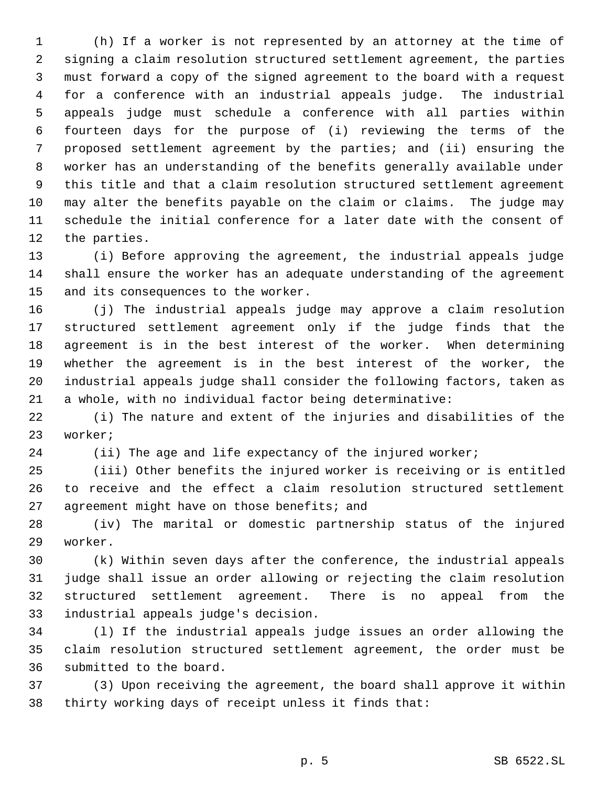(h) If a worker is not represented by an attorney at the time of signing a claim resolution structured settlement agreement, the parties must forward a copy of the signed agreement to the board with a request for a conference with an industrial appeals judge. The industrial appeals judge must schedule a conference with all parties within fourteen days for the purpose of (i) reviewing the terms of the proposed settlement agreement by the parties; and (ii) ensuring the worker has an understanding of the benefits generally available under this title and that a claim resolution structured settlement agreement may alter the benefits payable on the claim or claims. The judge may schedule the initial conference for a later date with the consent of the parties.

 (i) Before approving the agreement, the industrial appeals judge shall ensure the worker has an adequate understanding of the agreement and its consequences to the worker.

 (j) The industrial appeals judge may approve a claim resolution structured settlement agreement only if the judge finds that the agreement is in the best interest of the worker. When determining whether the agreement is in the best interest of the worker, the industrial appeals judge shall consider the following factors, taken as a whole, with no individual factor being determinative:

 (i) The nature and extent of the injuries and disabilities of the worker;

24 (ii) The age and life expectancy of the injured worker;

 (iii) Other benefits the injured worker is receiving or is entitled to receive and the effect a claim resolution structured settlement 27 agreement might have on those benefits; and

 (iv) The marital or domestic partnership status of the injured worker.

 (k) Within seven days after the conference, the industrial appeals judge shall issue an order allowing or rejecting the claim resolution structured settlement agreement. There is no appeal from the industrial appeals judge's decision.

 (l) If the industrial appeals judge issues an order allowing the claim resolution structured settlement agreement, the order must be submitted to the board.

 (3) Upon receiving the agreement, the board shall approve it within thirty working days of receipt unless it finds that: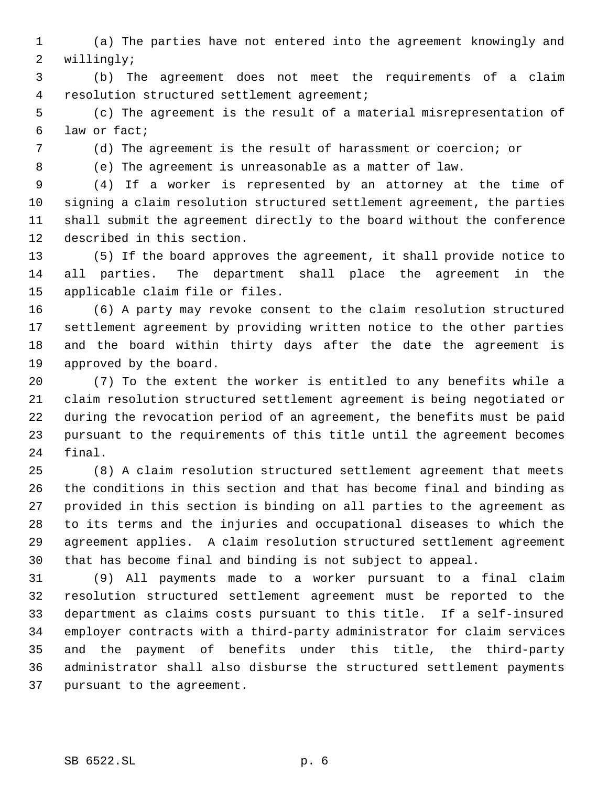(a) The parties have not entered into the agreement knowingly and willingly;

 (b) The agreement does not meet the requirements of a claim resolution structured settlement agreement;

 (c) The agreement is the result of a material misrepresentation of law or fact;

(d) The agreement is the result of harassment or coercion; or

(e) The agreement is unreasonable as a matter of law.

 (4) If a worker is represented by an attorney at the time of signing a claim resolution structured settlement agreement, the parties shall submit the agreement directly to the board without the conference described in this section.

 (5) If the board approves the agreement, it shall provide notice to all parties. The department shall place the agreement in the applicable claim file or files.

 (6) A party may revoke consent to the claim resolution structured settlement agreement by providing written notice to the other parties and the board within thirty days after the date the agreement is approved by the board.

 (7) To the extent the worker is entitled to any benefits while a claim resolution structured settlement agreement is being negotiated or during the revocation period of an agreement, the benefits must be paid pursuant to the requirements of this title until the agreement becomes final.

 (8) A claim resolution structured settlement agreement that meets the conditions in this section and that has become final and binding as provided in this section is binding on all parties to the agreement as to its terms and the injuries and occupational diseases to which the agreement applies. A claim resolution structured settlement agreement that has become final and binding is not subject to appeal.

 (9) All payments made to a worker pursuant to a final claim resolution structured settlement agreement must be reported to the department as claims costs pursuant to this title. If a self-insured employer contracts with a third-party administrator for claim services and the payment of benefits under this title, the third-party administrator shall also disburse the structured settlement payments pursuant to the agreement.